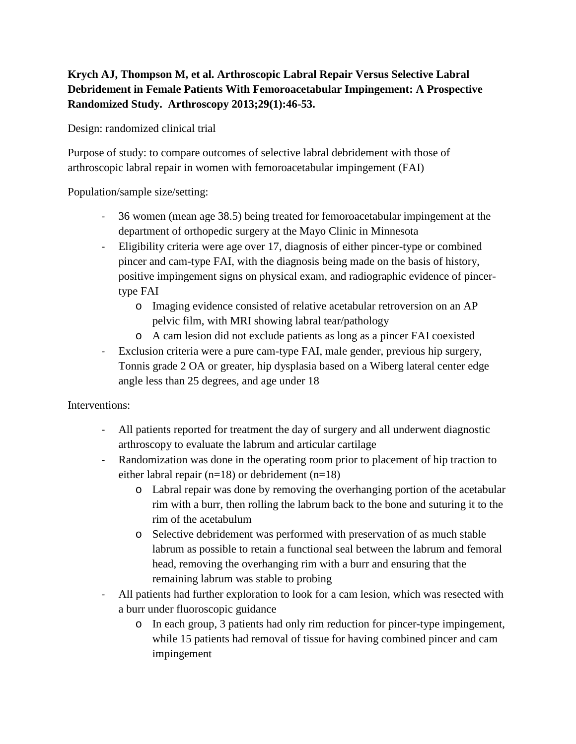## **Krych AJ, Thompson M, et al. Arthroscopic Labral Repair Versus Selective Labral Debridement in Female Patients With Femoroacetabular Impingement: A Prospective Randomized Study. Arthroscopy 2013;29(1):46-53.**

Design: randomized clinical trial

Purpose of study: to compare outcomes of selective labral debridement with those of arthroscopic labral repair in women with femoroacetabular impingement (FAI)

Population/sample size/setting:

- 36 women (mean age 38.5) being treated for femoroacetabular impingement at the department of orthopedic surgery at the Mayo Clinic in Minnesota
- Eligibility criteria were age over 17, diagnosis of either pincer-type or combined pincer and cam-type FAI, with the diagnosis being made on the basis of history, positive impingement signs on physical exam, and radiographic evidence of pincertype FAI
	- o Imaging evidence consisted of relative acetabular retroversion on an AP pelvic film, with MRI showing labral tear/pathology
	- o A cam lesion did not exclude patients as long as a pincer FAI coexisted
- Exclusion criteria were a pure cam-type FAI, male gender, previous hip surgery, Tonnis grade 2 OA or greater, hip dysplasia based on a Wiberg lateral center edge angle less than 25 degrees, and age under 18

Interventions:

- All patients reported for treatment the day of surgery and all underwent diagnostic arthroscopy to evaluate the labrum and articular cartilage
- Randomization was done in the operating room prior to placement of hip traction to either labral repair (n=18) or debridement (n=18)
	- o Labral repair was done by removing the overhanging portion of the acetabular rim with a burr, then rolling the labrum back to the bone and suturing it to the rim of the acetabulum
	- o Selective debridement was performed with preservation of as much stable labrum as possible to retain a functional seal between the labrum and femoral head, removing the overhanging rim with a burr and ensuring that the remaining labrum was stable to probing
- All patients had further exploration to look for a cam lesion, which was resected with a burr under fluoroscopic guidance
	- o In each group, 3 patients had only rim reduction for pincer-type impingement, while 15 patients had removal of tissue for having combined pincer and cam impingement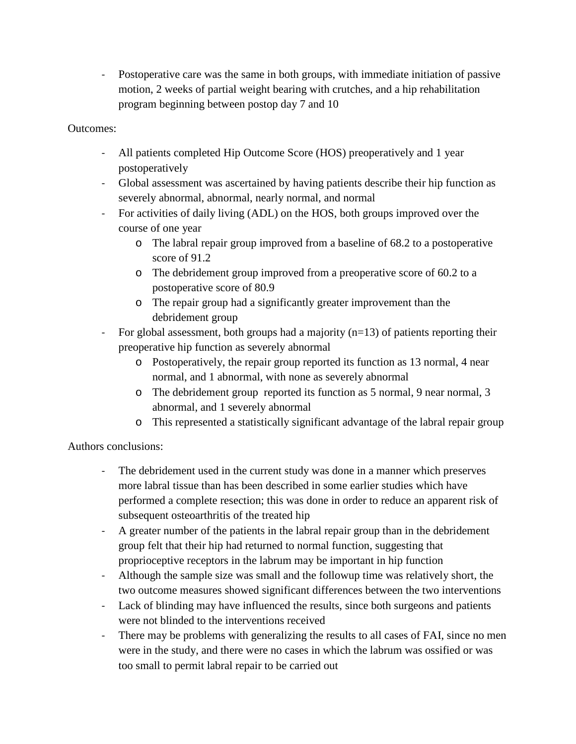- Postoperative care was the same in both groups, with immediate initiation of passive motion, 2 weeks of partial weight bearing with crutches, and a hip rehabilitation program beginning between postop day 7 and 10

## Outcomes:

- All patients completed Hip Outcome Score (HOS) preoperatively and 1 year postoperatively
- Global assessment was ascertained by having patients describe their hip function as severely abnormal, abnormal, nearly normal, and normal
- For activities of daily living (ADL) on the HOS, both groups improved over the course of one year
	- o The labral repair group improved from a baseline of 68.2 to a postoperative score of 91.2
	- o The debridement group improved from a preoperative score of 60.2 to a postoperative score of 80.9
	- o The repair group had a significantly greater improvement than the debridement group
- For global assessment, both groups had a majority (n=13) of patients reporting their preoperative hip function as severely abnormal
	- o Postoperatively, the repair group reported its function as 13 normal, 4 near normal, and 1 abnormal, with none as severely abnormal
	- o The debridement group reported its function as 5 normal, 9 near normal, 3 abnormal, and 1 severely abnormal
	- o This represented a statistically significant advantage of the labral repair group

## Authors conclusions:

- The debridement used in the current study was done in a manner which preserves more labral tissue than has been described in some earlier studies which have performed a complete resection; this was done in order to reduce an apparent risk of subsequent osteoarthritis of the treated hip
- A greater number of the patients in the labral repair group than in the debridement group felt that their hip had returned to normal function, suggesting that proprioceptive receptors in the labrum may be important in hip function
- Although the sample size was small and the followup time was relatively short, the two outcome measures showed significant differences between the two interventions
- Lack of blinding may have influenced the results, since both surgeons and patients were not blinded to the interventions received
- There may be problems with generalizing the results to all cases of FAI, since no men were in the study, and there were no cases in which the labrum was ossified or was too small to permit labral repair to be carried out